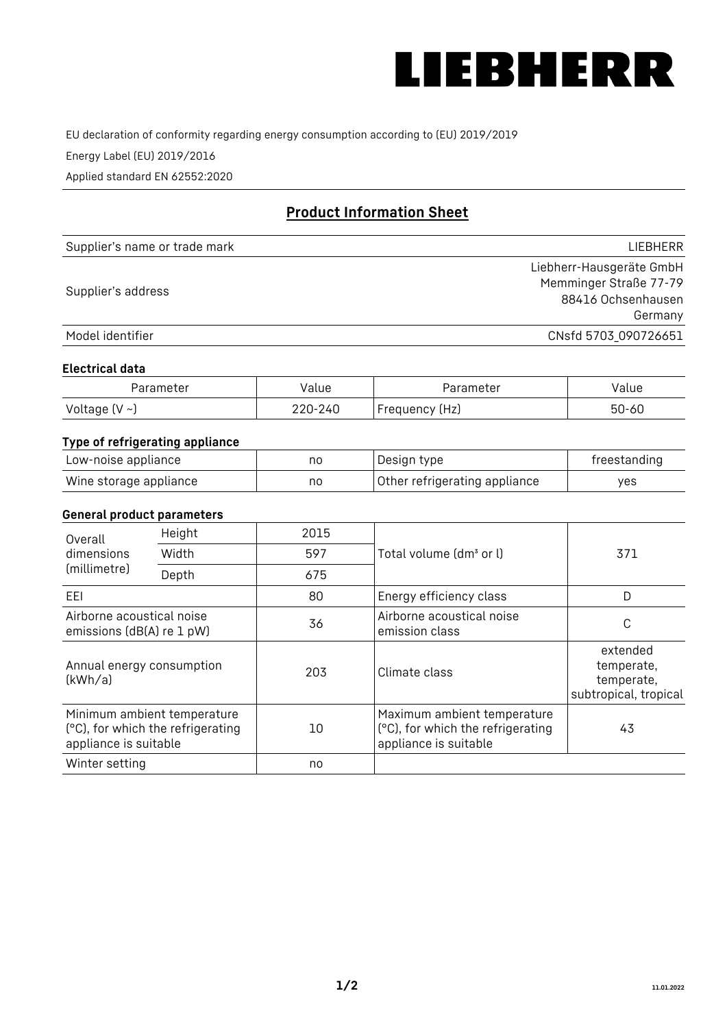

EU declaration of conformity regarding energy consumption according to (EU) 2019/2019

Energy Label (EU) 2019/2016

Applied standard EN 62552:2020

# **Product Information Sheet**

| Supplier's name or trade mark | LIEBHERR                 |
|-------------------------------|--------------------------|
|                               | Liebherr-Hausgeräte GmbH |
|                               | Memminger Straße 77-79   |
| Supplier's address            | 88416 Ochsenhausen       |
|                               | Germany                  |
| Model identifier              | CNsfd 5703_090726651     |

#### **Electrical data**

| Parameter          | Value   | Parameter      | alue  |
|--------------------|---------|----------------|-------|
| Voltage $(V \sim)$ | 220-240 | Frequency (Hz) | 50-60 |

## **Type of refrigerating appliance**

| Low-noise appliance    | nc | Design type                   | freestanding |
|------------------------|----|-------------------------------|--------------|
| Wine storage appliance | nc | Other refrigerating appliance | ves          |

#### **General product parameters**

| Overall<br>dimensions<br>(millimetre)                  | Height                                                           | 2015 |                                                                                           | 371                                                           |
|--------------------------------------------------------|------------------------------------------------------------------|------|-------------------------------------------------------------------------------------------|---------------------------------------------------------------|
|                                                        | Width                                                            | 597  | Total volume (dm <sup>3</sup> or l)                                                       |                                                               |
|                                                        | Depth                                                            | 675  |                                                                                           |                                                               |
| EEL                                                    |                                                                  | 80   | Energy efficiency class                                                                   | D                                                             |
| Airborne acoustical noise<br>emissions (dB(A) re 1 pW) |                                                                  | 36   | Airborne acoustical noise<br>emission class                                               | C                                                             |
| Annual energy consumption<br>(kWh/a)                   |                                                                  | 203  | Climate class                                                                             | extended<br>temperate,<br>temperate,<br>subtropical, tropical |
| appliance is suitable                                  | Minimum ambient temperature<br>(°C), for which the refrigerating | 10   | Maximum ambient temperature<br>(°C), for which the refrigerating<br>appliance is suitable | 43                                                            |
| Winter setting                                         |                                                                  | no   |                                                                                           |                                                               |